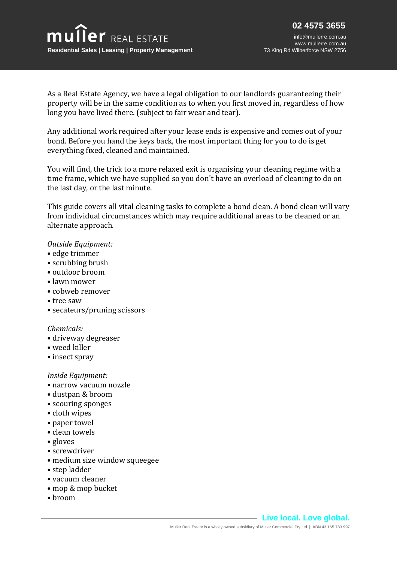

 info@mullerre.com.au www.mullerre.com.au 73 King Rd Wilberforce NSW 2756

As a Real Estate Agency, we have a legal obligation to our landlords guaranteeing their property will be in the same condition as to when you first moved in, regardless of how long you have lived there. (subject to fair wear and tear).

Any additional work required after your lease ends is expensive and comes out of your bond. Before you hand the keys back, the most important thing for you to do is get everything fixed, cleaned and maintained.

You will find, the trick to a more relaxed exit is organising your cleaning regime with a time frame, which we have supplied so you don't have an overload of cleaning to do on the last day, or the last minute.

This guide covers all vital cleaning tasks to complete a bond clean. A bond clean will vary from individual circumstances which may require additional areas to be cleaned or an alternate approach.

#### *Outside Equipment:*

- edge trimmer
- scrubbing brush
- outdoor broom
- lawn mower
- cobweb remover
- tree saw
- secateurs/pruning scissors

#### *Chemicals:*

- driveway degreaser
- weed killer
- insect spray

#### *Inside Equipment:*

- narrow vacuum nozzle
- dustpan & broom
- scouring sponges
- cloth wipes
- paper towel
- clean towels
- gloves
- screwdriver
- medium size window squeegee
- step ladder
- vacuum cleaner
- mop & mop bucket
- broom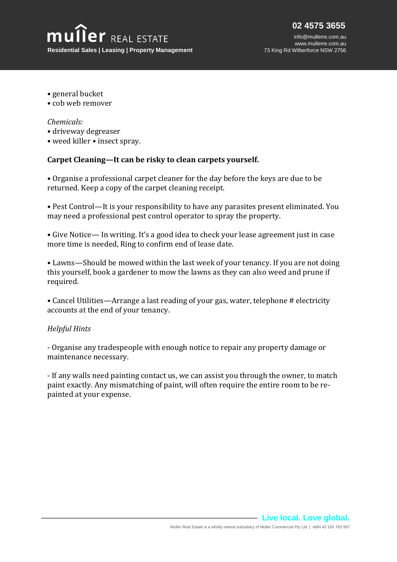info@mullerre.com.au www.mullerre.com.au 73 King Rd Wilberforce NSW 2756

- general bucket
- cob web remover

## *Chemicals:*

- driveway degreaser
- weed killer insect spray.

## **Carpet Cleaning—It can be risky to clean carpets yourself.**

• Organise a professional carpet cleaner for the day before the keys are due to be returned. Keep a copy of the carpet cleaning receipt.

• Pest Control—It is your responsibility to have any parasites present eliminated. You may need a professional pest control operator to spray the property.

• Give Notice— In writing. It's a good idea to check your lease agreement just in case more time is needed, Ring to confirm end of lease date.

• Lawns—Should be mowed within the last week of your tenancy. If you are not doing this yourself, book a gardener to mow the lawns as they can also weed and prune if required.

• Cancel Utilities—Arrange a last reading of your gas, water, telephone # electricity accounts at the end of your tenancy.

## *Helpful Hints*

- Organise any tradespeople with enough notice to repair any property damage or maintenance necessary.

- If any walls need painting contact us, we can assist you through the owner, to match paint exactly. Any mismatching of paint, will often require the entire room to be repainted at your expense.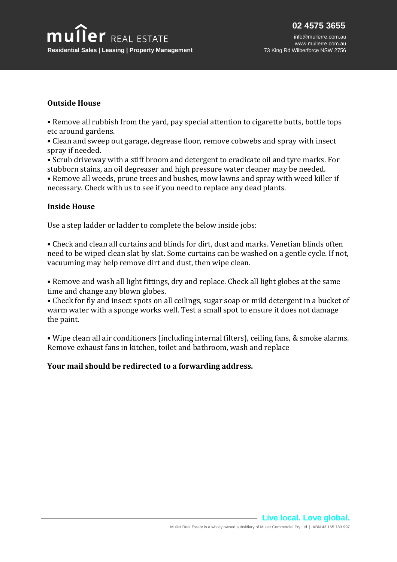info@mullerre.com.au www.mullerre.com.au 73 King Rd Wilberforce NSW 2756

## **Outside House**

• Remove all rubbish from the yard, pay special attention to cigarette butts, bottle tops etc around gardens.

• Clean and sweep out garage, degrease floor, remove cobwebs and spray with insect spray if needed.

• Scrub driveway with a stiff broom and detergent to eradicate oil and tyre marks. For stubborn stains, an oil degreaser and high pressure water cleaner may be needed.

• Remove all weeds, prune trees and bushes, mow lawns and spray with weed killer if necessary. Check with us to see if you need to replace any dead plants.

## **Inside House**

Use a step ladder or ladder to complete the below inside jobs:

• Check and clean all curtains and blinds for dirt, dust and marks. Venetian blinds often need to be wiped clean slat by slat. Some curtains can be washed on a gentle cycle. If not, vacuuming may help remove dirt and dust, then wipe clean.

• Remove and wash all light fittings, dry and replace. Check all light globes at the same time and change any blown globes.

• Check for fly and insect spots on all ceilings, sugar soap or mild detergent in a bucket of warm water with a sponge works well. Test a small spot to ensure it does not damage the paint.

• Wipe clean all air conditioners (including internal filters), ceiling fans, & smoke alarms. Remove exhaust fans in kitchen, toilet and bathroom, wash and replace

### **Your mail should be redirected to a forwarding address.**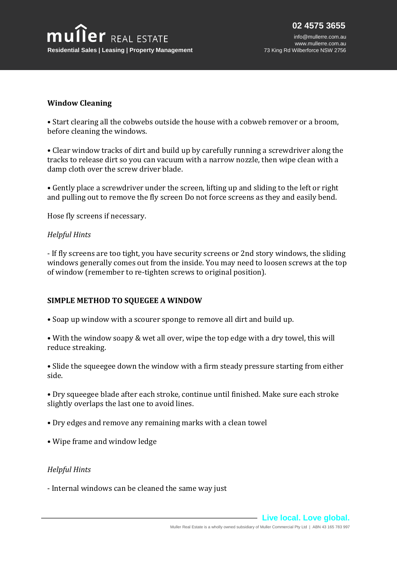

 info@mullerre.com.au www.mullerre.com.au 73 King Rd Wilberforce NSW 2756

### **Window Cleaning**

• Start clearing all the cobwebs outside the house with a cobweb remover or a broom, before cleaning the windows.

• Clear window tracks of dirt and build up by carefully running a screwdriver along the tracks to release dirt so you can vacuum with a narrow nozzle, then wipe clean with a damp cloth over the screw driver blade.

• Gently place a screwdriver under the screen, lifting up and sliding to the left or right and pulling out to remove the fly screen Do not force screens as they and easily bend.

Hose fly screens if necessary.

#### *Helpful Hints*

- If fly screens are too tight, you have security screens or 2nd story windows, the sliding windows generally comes out from the inside. You may need to loosen screws at the top of window (remember to re-tighten screws to original position).

#### **SIMPLE METHOD TO SQUEGEE A WINDOW**

• Soap up window with a scourer sponge to remove all dirt and build up.

• With the window soapy & wet all over, wipe the top edge with a dry towel, this will reduce streaking.

• Slide the squeegee down the window with a firm steady pressure starting from either side.

• Dry squeegee blade after each stroke, continue until finished. Make sure each stroke slightly overlaps the last one to avoid lines.

- Dry edges and remove any remaining marks with a clean towel
- Wipe frame and window ledge

#### *Helpful Hints*

- Internal windows can be cleaned the same way just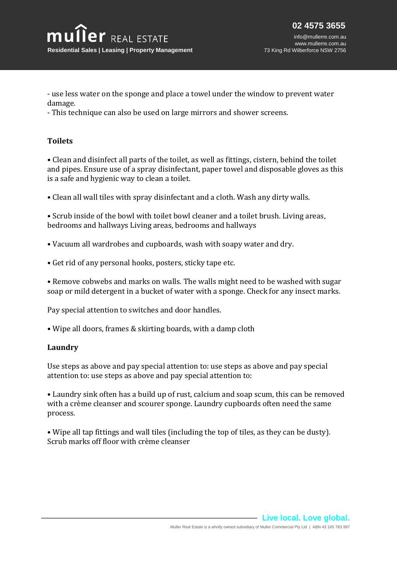info@mullerre.com.au www.mullerre.com.au 73 King Rd Wilberforce NSW 2756

- use less water on the sponge and place a towel under the window to prevent water damage.

- This technique can also be used on large mirrors and shower screens.

## **Toilets**

• Clean and disinfect all parts of the toilet, as well as fittings, cistern, behind the toilet and pipes. Ensure use of a spray disinfectant, paper towel and disposable gloves as this is a safe and hygienic way to clean a toilet.

• Clean all wall tiles with spray disinfectant and a cloth. Wash any dirty walls.

• Scrub inside of the bowl with toilet bowl cleaner and a toilet brush. Living areas, bedrooms and hallways Living areas, bedrooms and hallways

- Vacuum all wardrobes and cupboards, wash with soapy water and dry.
- Get rid of any personal hooks, posters, sticky tape etc.

• Remove cobwebs and marks on walls. The walls might need to be washed with sugar soap or mild detergent in a bucket of water with a sponge. Check for any insect marks.

Pay special attention to switches and door handles.

• Wipe all doors, frames & skirting boards, with a damp cloth

## **Laundry**

Use steps as above and pay special attention to: use steps as above and pay special attention to: use steps as above and pay special attention to:

• Laundry sink often has a build up of rust, calcium and soap scum, this can be removed with a crème cleanser and scourer sponge. Laundry cupboards often need the same process.

• Wipe all tap fittings and wall tiles (including the top of tiles, as they can be dusty). Scrub marks off floor with crème cleanser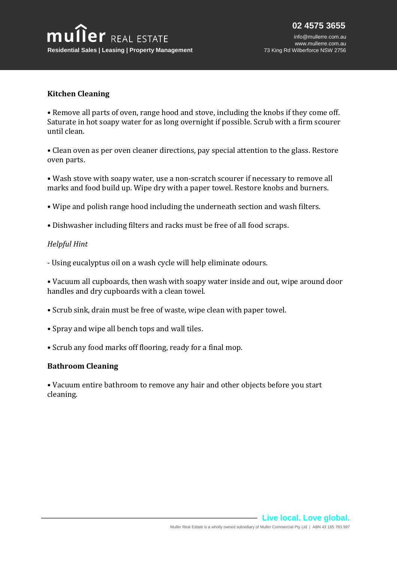info@mullerre.com.au www.mullerre.com.au 73 King Rd Wilberforce NSW 2756

## **Kitchen Cleaning**

• Remove all parts of oven, range hood and stove, including the knobs if they come off. Saturate in hot soapy water for as long overnight if possible. Scrub with a firm scourer until clean.

• Clean oven as per oven cleaner directions, pay special attention to the glass. Restore oven parts.

• Wash stove with soapy water, use a non-scratch scourer if necessary to remove all marks and food build up. Wipe dry with a paper towel. Restore knobs and burners.

• Wipe and polish range hood including the underneath section and wash filters.

• Dishwasher including filters and racks must be free of all food scraps.

## *Helpful Hint*

- Using eucalyptus oil on a wash cycle will help eliminate odours.

• Vacuum all cupboards, then wash with soapy water inside and out, wipe around door handles and dry cupboards with a clean towel.

- Scrub sink, drain must be free of waste, wipe clean with paper towel.
- Spray and wipe all bench tops and wall tiles.
- Scrub any food marks off flooring, ready for a final mop.

### **Bathroom Cleaning**

• Vacuum entire bathroom to remove any hair and other objects before you start cleaning.